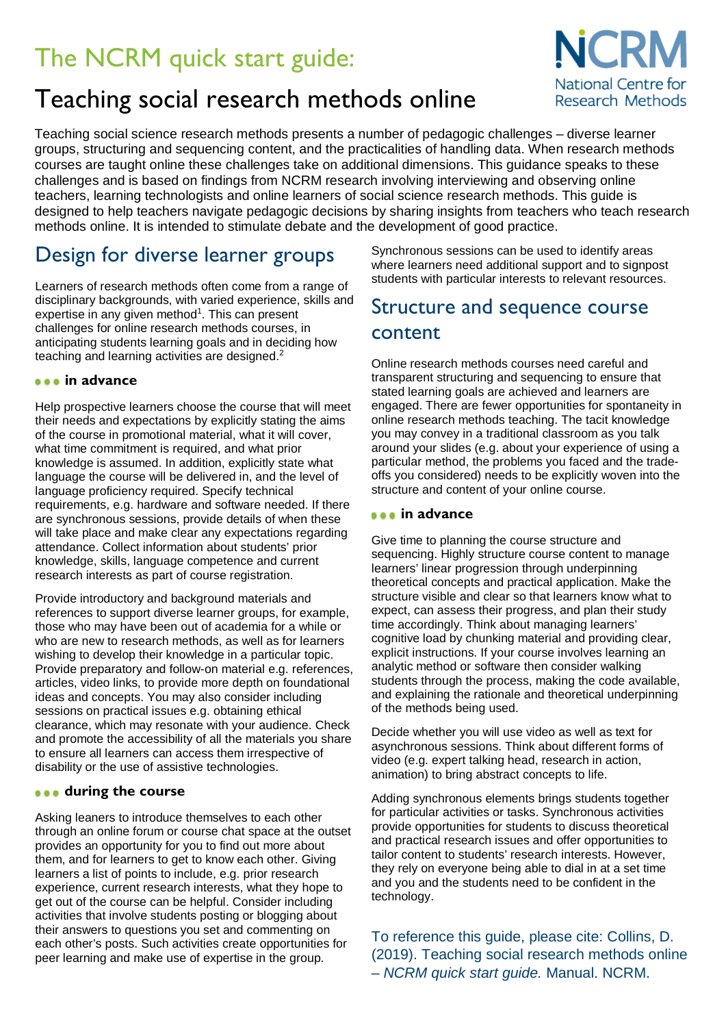# The NCRM quick start guide:

## Teaching social research methods online



Teaching social science research methods presents a number of pedagogic challenges – diverse learner groups, structuring and sequencing content, and the practicalities of handling data. When research methods courses are taught online these challenges take on additional dimensions. This guidance speaks to these challenges and is based on findings from NCRM research involving interviewing and observing online teachers, learning technologists and online learners of social science research methods. This guide is designed to help teachers navigate pedagogic decisions by sharing insights from teachers who teach research methods online. It is intended to stimulate debate and the development of good practice.

## Design for diverse learner groups

Learners of research methods often come from a range of disciplinary backgrounds, with varied experience, skills and expertise in any given method<sup>1</sup>. This can present challenges for online research methods courses, in anticipating students learning goals and in deciding how teaching and learning activities are designed.<sup>2</sup>

#### **in advance**

Help prospective learners choose the course that will meet their needs and expectations by explicitly stating the aims of the course in promotional material, what it will cover, what time commitment is required, and what prior knowledge is assumed. In addition, explicitly state what language the course will be delivered in, and the level of language proficiency required. Specify technical requirements, e.g. hardware and software needed. If there are synchronous sessions, provide details of when these will take place and make clear any expectations regarding attendance. Collect information about students' prior knowledge, skills, language competence and current research interests as part of course registration.

Provide introductory and background materials and references to support diverse learner groups, for example, those who may have been out of academia for a while or who are new to research methods, as well as for learners wishing to develop their knowledge in a particular topic. Provide preparatory and follow-on material e.g. references, articles, video links, to provide more depth on foundational ideas and concepts. You may also consider including sessions on practical issues e.g. obtaining ethical clearance, which may resonate with your audience. Check and promote the accessibility of all the materials you share to ensure all learners can access them irrespective of disability or the use of assistive technologies.

#### **during the course**

Asking leaners to introduce themselves to each other through an online forum or course chat space at the outset provides an opportunity for you to find out more about them, and for learners to get to know each other. Giving learners a list of points to include, e.g. prior research experience, current research interests, what they hope to get out of the course can be helpful. Consider including activities that involve students posting or blogging about their answers to questions you set and commenting on each other's posts. Such activities create opportunities for peer learning and make use of expertise in the group.

Synchronous sessions can be used to identify areas where learners need additional support and to signpost students with particular interests to relevant resources.

## Structure and sequence course content

Online research methods courses need careful and transparent structuring and sequencing to ensure that stated learning goals are achieved and learners are engaged. There are fewer opportunities for spontaneity in online research methods teaching. The tacit knowledge you may convey in a traditional classroom as you talk around your slides (e.g. about your experience of using a particular method, the problems you faced and the tradeoffs you considered) needs to be explicitly woven into the structure and content of your online course.

#### **in advance**

Give time to planning the course structure and sequencing. Highly structure course content to manage learners' linear progression through underpinning theoretical concepts and practical application. Make the structure visible and clear so that learners know what to expect, can assess their progress, and plan their study time accordingly. Think about managing learners' cognitive load by chunking material and providing clear, explicit instructions. If your course involves learning an analytic method or software then consider walking students through the process, making the code available, and explaining the rationale and theoretical underpinning of the methods being used.

Decide whether you will use video as well as text for asynchronous sessions. Think about different forms of video (e.g. expert talking head, research in action, animation) to bring abstract concepts to life.

Adding synchronous elements brings students together for particular activities or tasks. Synchronous activities provide opportunities for students to discuss theoretical and practical research issues and offer opportunities to tailor content to students' research interests. However, they rely on everyone being able to dial in at a set time and you and the students need to be confident in the technology.

To reference this guide, please cite: Collins, D. (2019). Teaching social research methods online – *NCRM quick start guide.* Manual. NCRM.